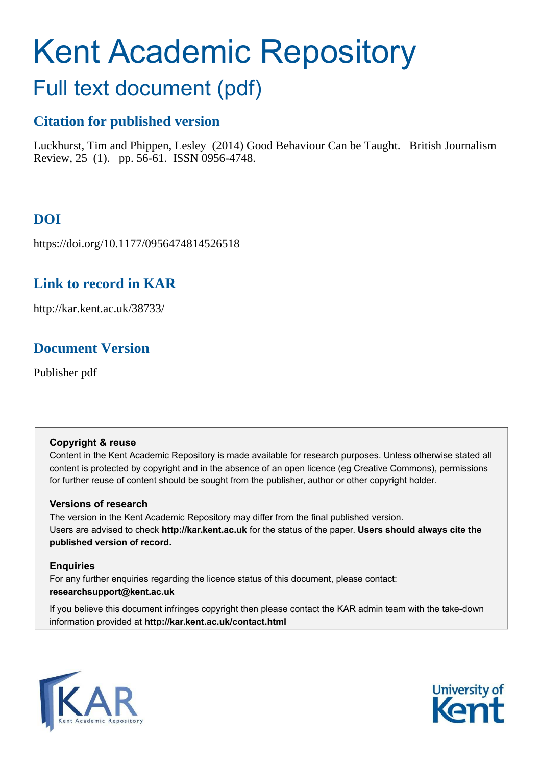# Kent Academic Repository

# Full text document (pdf)

### **Citation for published version**

Luckhurst, Tim and Phippen, Lesley (2014) Good Behaviour Can be Taught. British Journalism Review, 25 (1). pp. 56-61. ISSN 0956-4748.

## **DOI**

https://doi.org/10.1177/0956474814526518

## **Link to record in KAR**

http://kar.kent.ac.uk/38733/

### **Document Version**

Publisher pdf

#### **Copyright & reuse**

Content in the Kent Academic Repository is made available for research purposes. Unless otherwise stated all content is protected by copyright and in the absence of an open licence (eg Creative Commons), permissions for further reuse of content should be sought from the publisher, author or other copyright holder.

#### **Versions of research**

The version in the Kent Academic Repository may differ from the final published version. Users are advised to check **http://kar.kent.ac.uk** for the status of the paper. **Users should always cite the published version of record.**

#### **Enquiries**

For any further enquiries regarding the licence status of this document, please contact: **researchsupport@kent.ac.uk**

If you believe this document infringes copyright then please contact the KAR admin team with the take-down information provided at **http://kar.kent.ac.uk/contact.html**



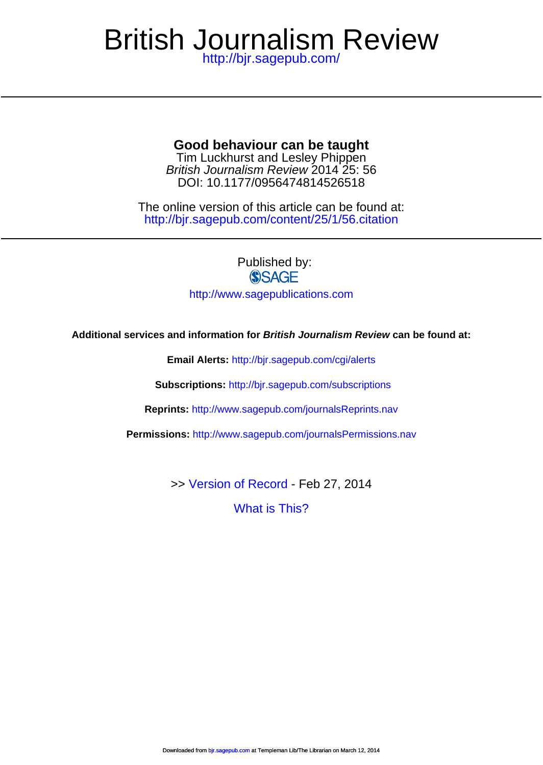# British J[ournalism Review](http://www.sagepub.com/journalsPermissions.nav)

<http://bjr.sagepub.com/>

#### **Good behaviour can be taught**

DOI: 10.1177/0[9564748145265](http://online.sagepub.com/site/sphelp/vorhelp.xhtml)18 British Journalism Review 2014 25: 56 Tim Luc[khurst and Lesley P](http://bjr.sagepub.com/content/25/1/56.full.pdf)hippen

<http://bjr.sagepub.com/content/25/1/56.citation> The online version of this article can be found at:

> Published by:<br>
> SAGE <http://www.sagepublications.com>

**Additional services and information for British Journalism Review can be found at:**

**Email Alerts:** <http://bjr.sagepub.com/cgi/alerts>

**Subscriptions:** <http://bjr.sagepub.com/subscriptions>

**Reprints:** <http://www.sagepub.com/journalsReprints.nav>

**Permissions:** <http://www.sagepub.com/journalsPermissions.nav>

>> [Version of Record -](http://bjr.sagepub.com/content/25/1/56.full.pdf) Feb 27, 2014

[What is This?](http://online.sagepub.com/site/sphelp/vorhelp.xhtml)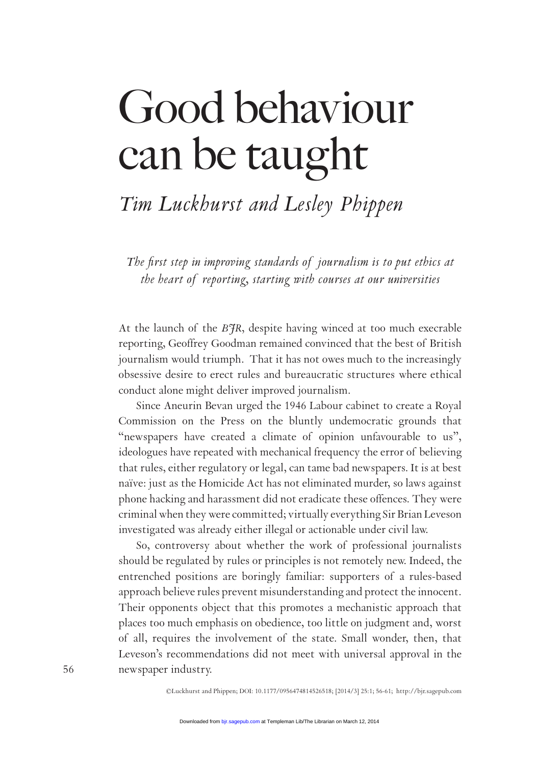# Good behaviour can be taught

# *Tim Luckhurst and Lesley Phippen*

*The first step in improving standards of journalism is to put ethics at the heart of reporting, starting with courses at our universities*

At the launch of the *BJR*, despite having winced at too much execrable reporting, Geoffrey Goodman remained convinced that the best of British journalism would triumph. That it has not owes much to the increasingly obsessive desire to erect rules and bureaucratic structures where ethical conduct alone might deliver improved journalism.

Since Aneurin Bevan urged the 1946 Labour cabinet to create a Royal Commission on the Press on the bluntly undemocratic grounds that "newspapers have created a climate of opinion unfavourable to us", ideologues have repeated with mechanical frequency the error of believing that rules, either regulatory or legal, can tame bad newspapers. It is at best naïve: just as the Homicide Act has not eliminated murder, so laws against phone hacking and harassment did not eradicate these offences. They were criminal when they were committed; virtually everything Sir Brian Leveson investigated was already either illegal or actionable under civil law.

So, controversy about whether the work of professional journalists should be regulated by rules or principles is not remotely new. Indeed, the entrenched positions are boringly familiar: supporters of a rules-based approach believe rules prevent misunderstanding and protect the innocent. Their opponents object that this promotes a mechanistic approach that places too much emphasis on obedience, too little on judgment and, worst of all, requires the involvement of the state. Small wonder, then, that Leveson's recommendations did not meet with universal approval in the newspaper industry.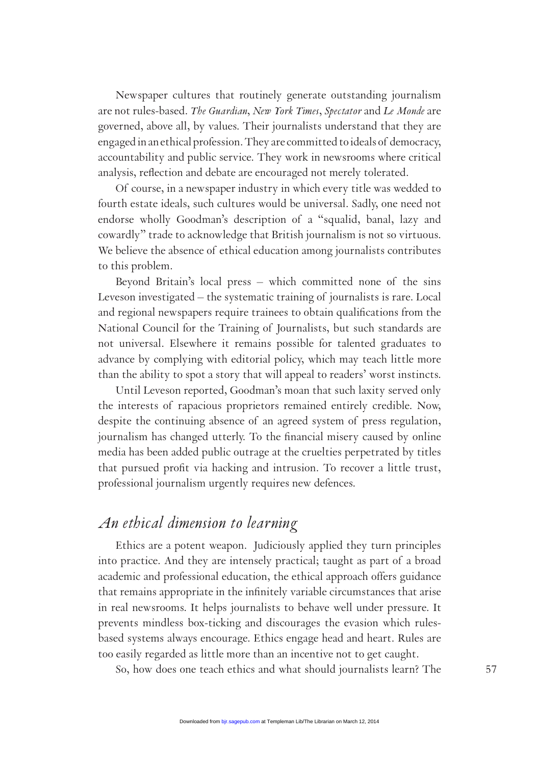Newspaper cultures that routinely generate outstanding journalism are not rules-based. *The Guardian*, *New York Times*, *Spectator* and *Le Monde* are governed, above all, by values. Their journalists understand that they are engaged in an ethical profession. They are committed to ideals of democracy, accountability and public service. They work in newsrooms where critical analysis, reflection and debate are encouraged not merely tolerated.

Of course, in a newspaper industry in which every title was wedded to fourth estate ideals, such cultures would be universal. Sadly, one need not endorse wholly Goodman's description of a "squalid, banal, lazy and cowardly" trade to acknowledge that British journalism is not so virtuous. We believe the absence of ethical education among journalists contributes to this problem.

Beyond Britain's local press – which committed none of the sins Leveson investigated – the systematic training of journalists is rare. Local and regional newspapers require trainees to obtain qualifications from the National Council for the Training of Journalists, but such standards are not universal. Elsewhere it remains possible for talented graduates to advance by complying with editorial policy, which may teach little more than the ability to spot a story that will appeal to readers' worst instincts.

Until Leveson reported, Goodman's moan that such laxity served only the interests of rapacious proprietors remained entirely credible. Now, despite the continuing absence of an agreed system of press regulation, journalism has changed utterly. To the financial misery caused by online media has been added public outrage at the cruelties perpetrated by titles that pursued profit via hacking and intrusion. To recover a little trust, professional journalism urgently requires new defences.

#### *An ethical dimension to learning*

Ethics are a potent weapon. Judiciously applied they turn principles into practice. And they are intensely practical; taught as part of a broad academic and professional education, the ethical approach offers guidance that remains appropriate in the infinitely variable circumstances that arise in real newsrooms. It helps journalists to behave well under pressure. It prevents mindless box-ticking and discourages the evasion which rulesbased systems always encourage. Ethics engage head and heart. Rules are too easily regarded as little more than an incentive not to get caught.

So, how does one teach ethics and what sho[uld journa](http://bjr.sagepub.com/)lists learn? The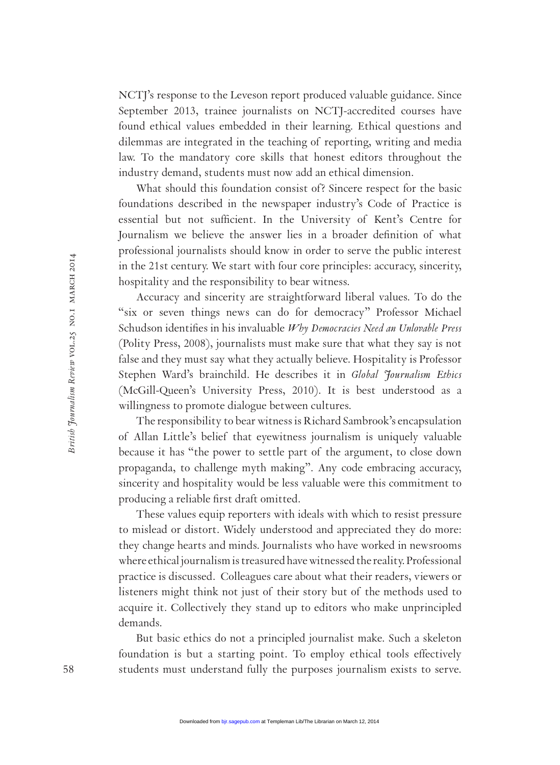NCTJ's response to the Leveson report produced valuable guidance. Since September 2013, trainee journalists on NCTJ-accredited courses have found ethical values embedded in their learning. Ethical questions and dilemmas are integrated in the teaching of reporting, writing and media law. To the mandatory core skills that honest editors throughout the industry demand, students must now add an ethical dimension.

What should this foundation consist of? Sincere respect for the basic foundations described in the newspaper industry's Code of Practice is essential but not sufficient. In the University of Kent's Centre for Journalism we believe the answer lies in a broader definition of what professional journalists should know in order to serve the public interest in the 21st century. We start with four core principles: accuracy, sincerity, hospitality and the responsibility to bear witness.

Accuracy and sincerity are straightforward liberal values. To do the "six or seven things news can do for democracy" Professor Michael Schudson identifies in his invaluable *Why Democracies Need an Unlovable Press*  (Polity Press, 2008), journalists must make sure that what they say is not false and they must say what they actually believe. Hospitality is Professor Stephen Ward's brainchild. He describes it in *Global Journalism Ethics* (McGill-Queen's University Press, 2010). It is best understood as a willingness to promote dialogue between cultures.

The responsibility to bear witness is Richard Sambrook's encapsulation of Allan Little's belief that eyewitness journalism is uniquely valuable because it has "the power to settle part of the argument, to close down propaganda, to challenge myth making". Any code embracing accuracy, sincerity and hospitality would be less valuable were this commitment to producing a reliable first draft omitted.

These values equip reporters with ideals with which to resist pressure to mislead or distort. Widely understood and appreciated they do more: they change hearts and minds. Journalists who have worked in newsrooms where ethical journalism is treasured have witnessed the reality. Professional practice is discussed. Colleagues care about what their readers, viewers or listeners might think not just of their story but of the methods used to acquire it. Collectively they stand up to editors who make unprincipled demands.

But basic ethics do not a principled journalist make. Such a skeleton foundation is but a starting point. To employ ethical tools effectively students must understand fully the purpos[es journa](http://bjr.sagepub.com/)lism exists to serve.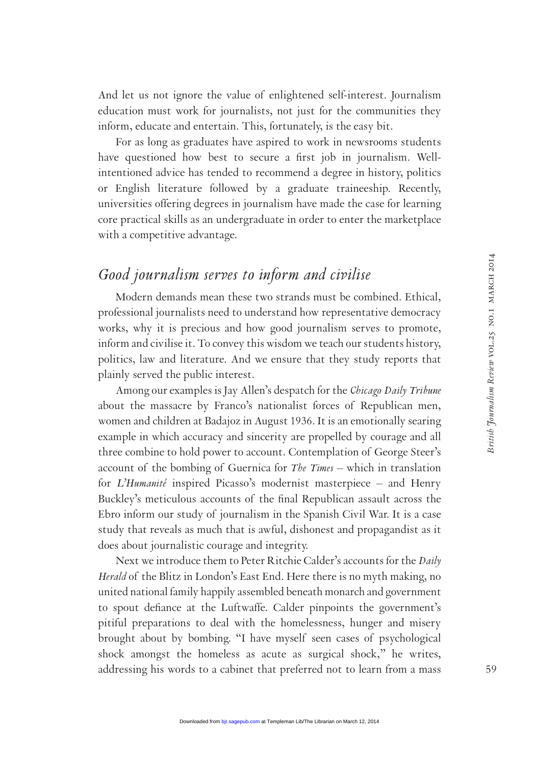And let us not ignore the value of enlightened self-interest. Journalism education must work for journalists, not just for the communities they inform, educate and entertain. This, fortunately, is the easy bit.

For as long as graduates have aspired to work in newsrooms students have questioned how best to secure a first job in journalism. Wellintentioned advice has tended to recommend a degree in history, politics or English literature followed by a graduate traineeship. Recently, universities offering degrees in journalism have made the case for learning core practical skills as an undergraduate in order to enter the marketplace with a competitive advantage.

#### *Good journalism serves to inform and civilise*

Modern demands mean these two strands must be combined. Ethical, professional journalists need to understand how representative democracy works, why it is precious and how good journalism serves to promote, inform and civilise it. To convey this wisdom we teach our students history, politics, law and literature. And we ensure that they study reports that plainly served the public interest.

Among our examples is Jay Allen's despatch for the *Chicago Daily Tribune* about the massacre by Franco's nationalist forces of Republican men, women and children at Badajoz in August 1936. It is an emotionally searing example in which accuracy and sincerity are propelled by courage and all three combine to hold power to account. Contemplation of George Steer's account of the bombing of Guernica for *The Times* – which in translation for *L'Humanité* inspired Picasso's modernist masterpiece – and Henry Buckley's meticulous accounts of the final Republican assault across the Ebro inform our study of journalism in the Spanish Civil War. It is a case study that reveals as much that is awful, dishonest and propagandist as it does about journalistic courage and integrity.

Next we introduce them to Peter Ritchie Calder's accounts for the *Daily Herald* of the Blitz in London's East End. Here there is no myth making, no united national family happily assembled beneath monarch and government to spout defiance at the Luftwaffe. Calder pinpoints the government's pitiful preparations to deal with the homelessness, hunger and misery brought about by bombing. "I have myself seen cases of psychological shock amongst the homeless as acute as surgical shock," he writes, addressing his words to a cabinet that preferred [not to lea](http://bjr.sagepub.com/)rn from a mass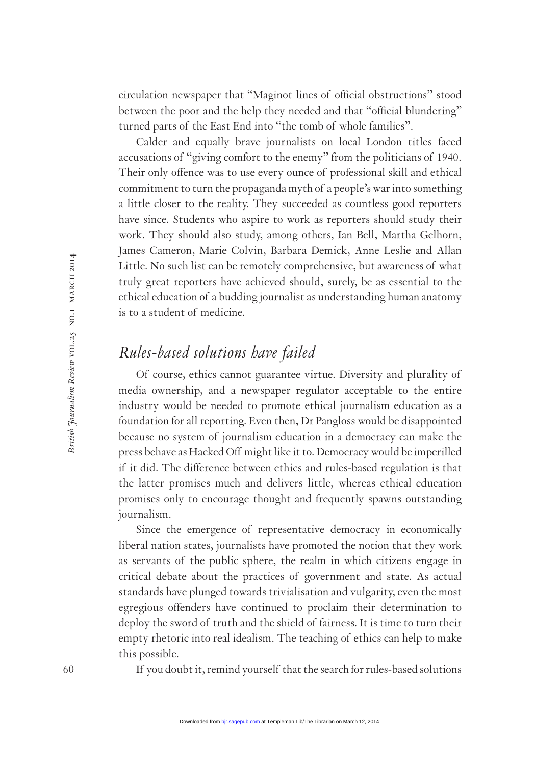circulation newspaper that "Maginot lines of official obstructions" stood between the poor and the help they needed and that "official blundering" turned parts of the East End into "the tomb of whole families".

Calder and equally brave journalists on local London titles faced accusations of "giving comfort to the enemy" from the politicians of 1940. Their only offence was to use every ounce of professional skill and ethical commitment to turn the propaganda myth of a people's war into something a little closer to the reality. They succeeded as countless good reporters have since. Students who aspire to work as reporters should study their work. They should also study, among others, Ian Bell, Martha Gelhorn, James Cameron, Marie Colvin, Barbara Demick, Anne Leslie and Allan Little. No such list can be remotely comprehensive, but awareness of what truly great reporters have achieved should, surely, be as essential to the ethical education of a budding journalist as understanding human anatomy is to a student of medicine.

#### *Rules-based solutions have failed*

Of course, ethics cannot guarantee virtue. Diversity and plurality of media ownership, and a newspaper regulator acceptable to the entire industry would be needed to promote ethical journalism education as a foundation for all reporting. Even then, Dr Pangloss would be disappointed because no system of journalism education in a democracy can make the press behave as Hacked Off might like it to. Democracy would be imperilled if it did. The difference between ethics and rules-based regulation is that the latter promises much and delivers little, whereas ethical education promises only to encourage thought and frequently spawns outstanding journalism.

Since the emergence of representative democracy in economically liberal nation states, journalists have promoted the notion that they work as servants of the public sphere, the realm in which citizens engage in critical debate about the practices of government and state. As actual standards have plunged towards trivialisation and vulgarity, even the most egregious offenders have continued to proclaim their determination to deploy the sword of truth and the shield of fairness. It is time to turn their empty rhetoric into real idealism. The teaching of ethics can help to make this possible.

If you doubt it, remind yourself that the [search for r](http://bjr.sagepub.com/)ules-based solutions